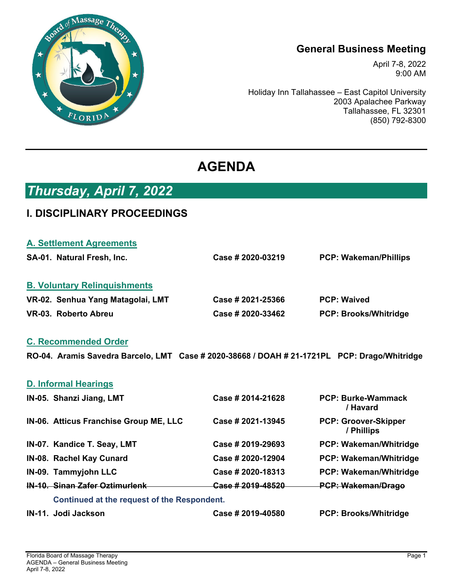

## **General Business Meeting**

April 7-8, 2022 9:00 AM

Holiday Inn Tallahassee – East Capitol University 2003 Apalachee Parkway Tallahassee, FL 32301 (850) 792-8300

# **AGENDA**

# *Thursday, April 7, 2022*

## **I. DISCIPLINARY PROCEEDINGS**

| <b>A. Settlement Agreements</b>     |                   |                              |
|-------------------------------------|-------------------|------------------------------|
| SA-01. Natural Fresh, Inc.          | Case # 2020-03219 | <b>PCP: Wakeman/Phillips</b> |
| <b>B. Voluntary Relinguishments</b> |                   |                              |
| VR-02. Senhua Yang Matagolai, LMT   | Case # 2021-25366 | <b>PCP: Waived</b>           |
| VR-03. Roberto Abreu                | Case # 2020-33462 | <b>PCP: Brooks/Whitridge</b> |

### **C. Recommended Order**

**RO-04. Aramis Savedra Barcelo, LMT Case # 2020-38668 / DOAH # 21-1721PL PCP: Drago/Whitridge** 

| IN-11. Jodi Jackson                         | Case # 2019-40580 | <b>PCP: Brooks/Whitridge</b>              |
|---------------------------------------------|-------------------|-------------------------------------------|
| Continued at the request of the Respondent. |                   |                                           |
| <b>IN-10. Sinan Zafer Oztimurlenk</b>       | Case #2019-48520  | <b>PCP: Wakeman/Drago</b>                 |
| IN-09. Tammyjohn LLC                        | Case # 2020-18313 | <b>PCP: Wakeman/Whitridge</b>             |
| IN-08. Rachel Kay Cunard                    | Case # 2020-12904 | <b>PCP: Wakeman/Whitridge</b>             |
| IN-07. Kandice T. Seay, LMT                 | Case # 2019-29693 | <b>PCP: Wakeman/Whitridge</b>             |
| IN-06. Atticus Franchise Group ME, LLC      | Case # 2021-13945 | <b>PCP: Groover-Skipper</b><br>/ Phillips |
| IN-05. Shanzi Jiang, LMT                    | Case # 2014-21628 | <b>PCP: Burke-Wammack</b><br>/ Havard     |
| <b>D. Informal Hearings</b>                 |                   |                                           |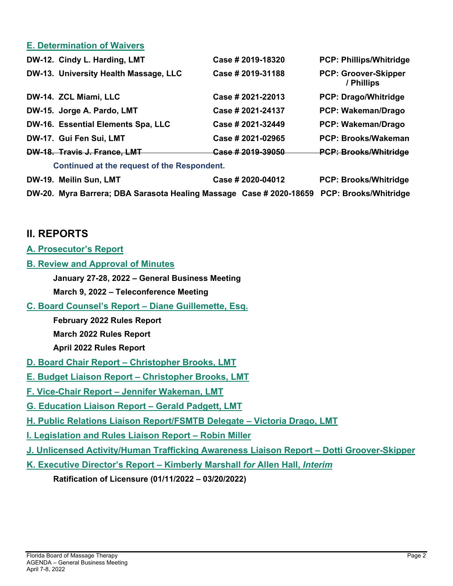#### **E. Determination of Waivers**

| DW-12. Cindy L. Harding, LMT                                                              | Case # 2019-18320 | <b>PCP: Phillips/Whitridge</b>            |
|-------------------------------------------------------------------------------------------|-------------------|-------------------------------------------|
| DW-13. University Health Massage, LLC                                                     | Case # 2019-31188 | <b>PCP: Groover-Skipper</b><br>/ Phillips |
| DW-14. ZCL Miami, LLC                                                                     | Case # 2021-22013 | <b>PCP: Drago/Whitridge</b>               |
| DW-15. Jorge A. Pardo, LMT                                                                | Case # 2021-24137 | PCP: Wakeman/Drago                        |
| DW-16. Essential Elements Spa, LLC                                                        | Case # 2021-32449 | <b>PCP: Wakeman/Drago</b>                 |
| DW-17. Gui Fen Sui, LMT                                                                   | Case # 2021-02965 | <b>PCP: Brooks/Wakeman</b>                |
| DW-18. Travis J. France, LMT                                                              | Case #2019-39050  | <b>PCP: Brooks/Whitridge</b>              |
| Continued at the request of the Respondent.                                               |                   |                                           |
| DW-19. Meilin Sun, LMT                                                                    | Case # 2020-04012 | <b>PCP: Brooks/Whitridge</b>              |
| DW-20. Myra Barrera; DBA Sarasota Healing Massage Case # 2020-18659 PCP: Brooks/Whitridge |                   |                                           |

### **II. REPORTS**

- **A. Prosecutor's Report**
- **B. Review and Approval of Minutes** 
	- **January 27-28, 2022 General Business Meeting**
	- **March 9, 2022 Teleconference Meeting**
- **C. Board Counsel's Report Diane Guillemette, Esq.** 
	- **February 2022 Rules Report March 2022 Rules Report**
	- **April 2022 Rules Report**
- **D. Board Chair Report Christopher Brooks, LMT**
- **E. Budget Liaison Report Christopher Brooks, LMT**
- **F. Vice-Chair Report Jennifer Wakeman, LMT**
- **G. Education Liaison Report Gerald Padgett, LMT**
- **H. Public Relations Liaison Report/FSMTB Delegate Victoria Drago, LMT**
- **I. Legislation and Rules Liaison Report Robin Miller**
- **J. Unlicensed Activity/Human Trafficking Awareness Liaison Report Dotti Groover-Skipper**
- **K. Executive Director's Report Kimberly Marshall** *for* **Allen Hall,** *Interim*
	- **Ratification of Licensure (01/11/2022 03/20/2022)**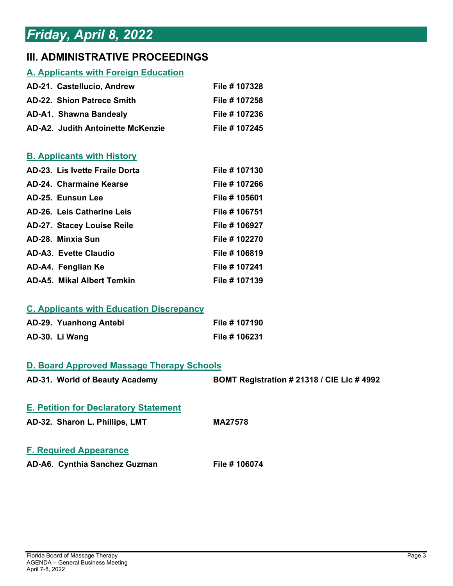# *Friday, April 8, 2022*

## **III. ADMINISTRATIVE PROCEEDINGS**

### **A. Applicants with Foreign Education**

| AD-21. Castellucio, Andrew        | File # 107328 |
|-----------------------------------|---------------|
| AD-22. Shion Patrece Smith        | File # 107258 |
| AD-A1. Shawna Bandealy            | File # 107236 |
| AD-A2. Judith Antoinette McKenzie | File # 107245 |

### **B. Applicants with History**

| AD-23. Lis Ivette Fraile Dorta    | File # 107130 |
|-----------------------------------|---------------|
| <b>AD-24. Charmaine Kearse</b>    | File # 107266 |
| AD-25. Eunsun Lee                 | File # 105601 |
| AD-26. Leis Catherine Leis        | File # 106751 |
| <b>AD-27. Stacey Louise Reile</b> | File # 106927 |
| AD-28. Minxia Sun                 | File # 102270 |
| <b>AD-A3. Evette Claudio</b>      | File # 106819 |
| AD-A4. Fenglian Ke                | File # 107241 |
| <b>AD-A5. Mikal Albert Temkin</b> | File # 107139 |

#### **C. Applicants with Education Discrepancy**

| AD-29. Yuanhong Antebi | File # 107190 |
|------------------------|---------------|
| AD-30. Li Wang         | File # 106231 |

#### **D. Board Approved Massage Therapy Schools**

| AD-31. World of Beauty Academy               | <b>BOMT Registration #21318 / CIE Lic #4992</b> |
|----------------------------------------------|-------------------------------------------------|
| <b>E. Petition for Declaratory Statement</b> |                                                 |
| AD-32. Sharon L. Phillips, LMT               | <b>MA27578</b>                                  |
| <b>F. Required Appearance</b>                |                                                 |

**AD-A6. Cynthia Sanchez Guzman File # 106074**